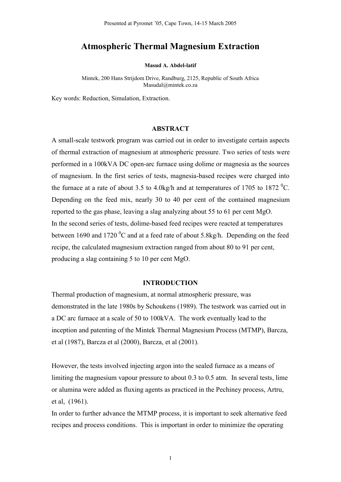# **Atmospheric Thermal Magnesium Extraction**

**Masud A. Abdel-latif** 

Mintek, 200 Hans Strijdom Drive, Randburg, 2125, Republic of South Africa Masudal@mintek.co.za

Key words: Reduction, Simulation, Extraction.

#### **ABSTRACT**

A small-scale testwork program was carried out in order to investigate certain aspects of thermal extraction of magnesium at atmospheric pressure. Two series of tests were performed in a 100kVA DC open-arc furnace using dolime or magnesia as the sources of magnesium. In the first series of tests, magnesia-based recipes were charged into the furnace at a rate of about 3.5 to 4.0kg/h and at temperatures of 1705 to 1872 <sup>0</sup>C. Depending on the feed mix, nearly 30 to 40 per cent of the contained magnesium reported to the gas phase, leaving a slag analyzing about 55 to 61 per cent MgO. In the second series of tests, dolime-based feed recipes were reacted at temperatures between 1690 and 1720  $\rm{^0C}$  and at a feed rate of about 5.8kg/h. Depending on the feed recipe, the calculated magnesium extraction ranged from about 80 to 91 per cent, producing a slag containing 5 to 10 per cent MgO.

## **INTRODUCTION**

Thermal production of magnesium, at normal atmospheric pressure, was demonstrated in the late 1980s by Schoukens (1989). The testwork was carried out in a DC arc furnace at a scale of 50 to 100kVA. The work eventually lead to the inception and patenting of the Mintek Thermal Magnesium Process (MTMP), Barcza, et al (1987), Barcza et al (2000), Barcza, et al (2001).

However, the tests involved injecting argon into the sealed furnace as a means of limiting the magnesium vapour pressure to about 0.3 to 0.5 atm. In several tests, lime or alumina were added as fluxing agents as practiced in the Pechiney process, Artru, et al, (1961).

In order to further advance the MTMP process, it is important to seek alternative feed recipes and process conditions. This is important in order to minimize the operating

1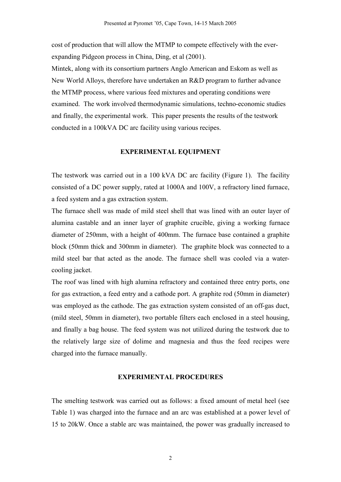cost of production that will allow the MTMP to compete effectively with the everexpanding Pidgeon process in China, Ding, et al (2001).

Mintek, along with its consortium partners Anglo American and Eskom as well as New World Alloys, therefore have undertaken an R&D program to further advance the MTMP process, where various feed mixtures and operating conditions were examined. The work involved thermodynamic simulations, techno-economic studies and finally, the experimental work. This paper presents the results of the testwork conducted in a 100kVA DC arc facility using various recipes.

## **EXPERIMENTAL EQUIPMENT**

The testwork was carried out in a 100 kVA DC arc facility (Figure 1). The facility consisted of a DC power supply, rated at 1000A and 100V, a refractory lined furnace, a feed system and a gas extraction system.

The furnace shell was made of mild steel shell that was lined with an outer layer of alumina castable and an inner layer of graphite crucible, giving a working furnace diameter of 250mm, with a height of 400mm. The furnace base contained a graphite block (50mm thick and 300mm in diameter). The graphite block was connected to a mild steel bar that acted as the anode. The furnace shell was cooled via a watercooling jacket.

The roof was lined with high alumina refractory and contained three entry ports, one for gas extraction, a feed entry and a cathode port. A graphite rod (50mm in diameter) was employed as the cathode. The gas extraction system consisted of an off-gas duct, (mild steel, 50mm in diameter), two portable filters each enclosed in a steel housing, and finally a bag house. The feed system was not utilized during the testwork due to the relatively large size of dolime and magnesia and thus the feed recipes were charged into the furnace manually.

### **EXPERIMENTAL PROCEDURES**

The smelting testwork was carried out as follows: a fixed amount of metal heel (see Table 1) was charged into the furnace and an arc was established at a power level of 15 to 20kW. Once a stable arc was maintained, the power was gradually increased to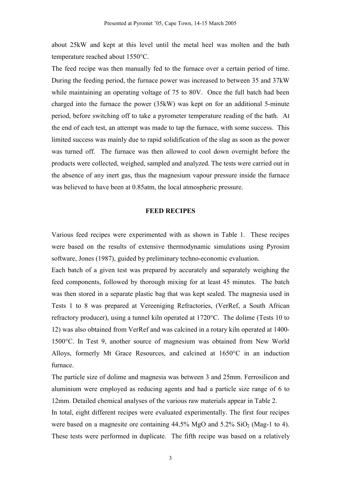about 25kW and kept at this level until the metal heel was molten and the bath temperature reached about 1550°C.

The feed recipe was then manually fed to the furnace over a certain period of time. During the feeding period, the furnace power was increased to between 35 and 37kW while maintaining an operating voltage of 75 to 80V. Once the full batch had been charged into the furnace the power (35kW) was kept on for an additional 5-minute period, before switching off to take a pyrometer temperature reading of the bath. At the end of each test, an attempt was made to tap the furnace, with some success. This limited success was mainly due to rapid solidification of the slag as soon as the power was turned off. The furnace was then allowed to cool down overnight before the products were collected, weighed, sampled and analyzed. The tests were carried out in the absence of any inert gas, thus the magnesium vapour pressure inside the furnace was believed to have been at 0.85atm, the local atmospheric pressure.

#### **FEED RECIPES**

Various feed recipes were experimented with as shown in Table 1. These recipes were based on the results of extensive thermodynamic simulations using Pyrosim software, Jones (1987), guided by preliminary techno-economic evaluation.

Each batch of a given test was prepared by accurately and separately weighing the feed components, followed by thorough mixing for at least 45 minutes. The batch was then stored in a separate plastic bag that was kept sealed. The magnesia used in Tests 1 to 8 was prepared at Vereeniging Refractories, (VerRef, a South African refractory producer), using a tunnel kiln operated at 1720°C. The dolime (Tests 10 to 12) was also obtained from VerRef and was calcined in a rotary kiln operated at 1400- 1500°C. In Test 9, another source of magnesium was obtained from New World Alloys, formerly Mt Grace Resources, and calcined at 1650°C in an induction furnace.

The particle size of dolime and magnesia was between 3 and 25mm. Ferrosilicon and aluminium were employed as reducing agents and had a particle size range of 6 to 12mm. Detailed chemical analyses of the various raw materials appear in Table 2.

In total, eight different recipes were evaluated experimentally. The first four recipes were based on a magnesite ore containing  $44.5\%$  MgO and  $5.2\%$  SiO<sub>2</sub> (Mag-1 to 4). These tests were performed in duplicate. The fifth recipe was based on a relatively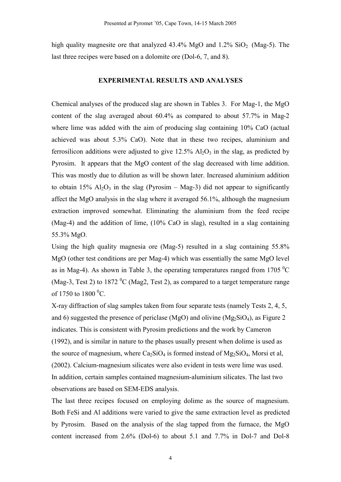high quality magnesite ore that analyzed  $43.4\%$  MgO and  $1.2\%$  SiO<sub>2</sub> (Mag-5). The last three recipes were based on a dolomite ore (Dol-6, 7, and 8).

#### **EXPERIMENTAL RESULTS AND ANALYSES**

Chemical analyses of the produced slag are shown in Tables 3. For Mag-1, the MgO content of the slag averaged about 60.4% as compared to about 57.7% in Mag-2 where lime was added with the aim of producing slag containing 10% CaO (actual achieved was about 5.3% CaO). Note that in these two recipes, aluminium and ferrosilicon additions were adjusted to give  $12.5\%$  Al<sub>2</sub>O<sub>3</sub> in the slag, as predicted by Pyrosim. It appears that the MgO content of the slag decreased with lime addition. This was mostly due to dilution as will be shown later. Increased aluminium addition to obtain 15%  $Al_2O_3$  in the slag (Pyrosim – Mag-3) did not appear to significantly affect the MgO analysis in the slag where it averaged 56.1%, although the magnesium extraction improved somewhat. Eliminating the aluminium from the feed recipe (Mag-4) and the addition of lime, (10% CaO in slag), resulted in a slag containing 55.3% MgO.

Using the high quality magnesia ore (Mag-5) resulted in a slag containing 55.8% MgO (other test conditions are per Mag-4) which was essentially the same MgO level as in Mag-4). As shown in Table 3, the operating temperatures ranged from 1705  $^{\circ}$ C (Mag-3, Test 2) to 1872 <sup>0</sup>C (Mag2, Test 2), as compared to a target temperature range of 1750 to 1800  $^0$ C.

X-ray diffraction of slag samples taken from four separate tests (namely Tests 2, 4, 5, and 6) suggested the presence of periclase (MgO) and olivine (Mg $_2$ SiO<sub>4</sub>), as Figure 2 indicates. This is consistent with Pyrosim predictions and the work by Cameron (1992), and is similar in nature to the phases usually present when dolime is used as the source of magnesium, where  $Ca<sub>2</sub>SiO<sub>4</sub>$  is formed instead of  $Mg<sub>2</sub>SiO<sub>4</sub>$ , Morsi et al, (2002). Calcium-magnesium silicates were also evident in tests were lime was used. In addition, certain samples contained magnesium-aluminium silicates. The last two observations are based on SEM-EDS analysis.

The last three recipes focused on employing dolime as the source of magnesium. Both FeSi and Al additions were varied to give the same extraction level as predicted by Pyrosim. Based on the analysis of the slag tapped from the furnace, the MgO content increased from 2.6% (Dol-6) to about 5.1 and 7.7% in Dol-7 and Dol-8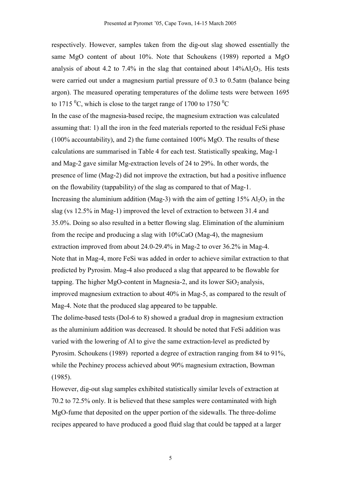respectively. However, samples taken from the dig-out slag showed essentially the same MgO content of about 10%. Note that Schoukens (1989) reported a MgO analysis of about 4.2 to 7.4% in the slag that contained about  $14\%$ Al<sub>2</sub>O<sub>3</sub>. His tests were carried out under a magnesium partial pressure of 0.3 to 0.5atm (balance being argon). The measured operating temperatures of the dolime tests were between 1695 to 1715  $\rm{^0C}$ , which is close to the target range of 1700 to 1750  $\rm{^0C}$ 

In the case of the magnesia-based recipe, the magnesium extraction was calculated assuming that: 1) all the iron in the feed materials reported to the residual FeSi phase (100% accountability), and 2) the fume contained  $100\%$  MgO. The results of these calculations are summarised in Table 4 for each test. Statistically speaking, Mag-1 and Mag-2 gave similar Mg-extraction levels of 24 to 29%. In other words, the presence of lime (Mag-2) did not improve the extraction, but had a positive influence on the flowability (tappability) of the slag as compared to that of Mag-1. Increasing the aluminium addition (Mag-3) with the aim of getting  $15\%$  Al<sub>2</sub>O<sub>3</sub> in the slag (vs 12.5% in Mag-1) improved the level of extraction to between 31.4 and 35.0%. Doing so also resulted in a better flowing slag. Elimination of the aluminium from the recipe and producing a slag with 10%CaO (Mag-4), the magnesium extraction improved from about 24.0-29.4% in Mag-2 to over 36.2% in Mag-4. Note that in Mag-4, more FeSi was added in order to achieve similar extraction to that predicted by Pyrosim. Mag-4 also produced a slag that appeared to be flowable for tapping. The higher MgO-content in Magnesia-2, and its lower  $SiO<sub>2</sub>$  analysis, improved magnesium extraction to about 40% in Mag-5, as compared to the result of Mag-4. Note that the produced slag appeared to be tappable.

The dolime-based tests (Dol-6 to 8) showed a gradual drop in magnesium extraction as the aluminium addition was decreased. It should be noted that FeSi addition was varied with the lowering of Al to give the same extraction-level as predicted by Pyrosim. Schoukens (1989) reported a degree of extraction ranging from 84 to 91%, while the Pechiney process achieved about 90% magnesium extraction, Bowman (1985).

However, dig-out slag samples exhibited statistically similar levels of extraction at 70.2 to 72.5% only. It is believed that these samples were contaminated with high MgO-fume that deposited on the upper portion of the sidewalls. The three-dolime recipes appeared to have produced a good fluid slag that could be tapped at a larger

5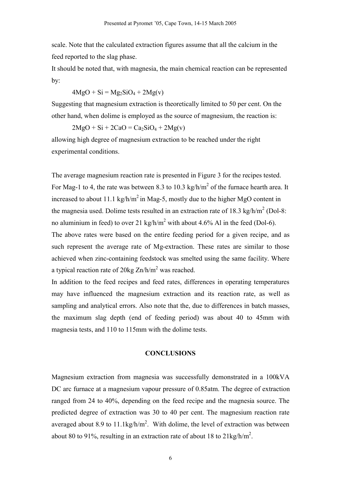scale. Note that the calculated extraction figures assume that all the calcium in the feed reported to the slag phase.

It should be noted that, with magnesia, the main chemical reaction can be represented by:

 $4MgO + Si = Mg<sub>2</sub>SiO<sub>4</sub> + 2Mg(v)$ 

Suggesting that magnesium extraction is theoretically limited to 50 per cent. On the other hand, when dolime is employed as the source of magnesium, the reaction is:

 $2MgO + Si + 2CaO = Ca<sub>2</sub>SiO<sub>4</sub> + 2Mg(v)$ 

allowing high degree of magnesium extraction to be reached under the right experimental conditions.

The average magnesium reaction rate is presented in Figure 3 for the recipes tested. For Mag-1 to 4, the rate was between 8.3 to 10.3 kg/h/m<sup>2</sup> of the furnace hearth area. It increased to about 11.1 kg/h/m<sup>2</sup> in Mag-5, mostly due to the higher MgO content in the magnesia used. Dolime tests resulted in an extraction rate of 18.3 kg/h/m<sup>2</sup> (Dol-8: no aluminium in feed) to over 21 kg/h/m<sup>2</sup> with about 4.6% Al in the feed (Dol-6). The above rates were based on the entire feeding period for a given recipe, and as such represent the average rate of Mg-extraction. These rates are similar to those achieved when zinc-containing feedstock was smelted using the same facility. Where a typical reaction rate of 20kg  $\text{Zn}/\text{h}/\text{m}^2$  was reached.

In addition to the feed recipes and feed rates, differences in operating temperatures may have influenced the magnesium extraction and its reaction rate, as well as sampling and analytical errors. Also note that the, due to differences in batch masses, the maximum slag depth (end of feeding period) was about 40 to 45mm with magnesia tests, and 110 to 115mm with the dolime tests.

#### **CONCLUSIONS**

Magnesium extraction from magnesia was successfully demonstrated in a 100kVA DC arc furnace at a magnesium vapour pressure of 0.85atm. The degree of extraction ranged from 24 to 40%, depending on the feed recipe and the magnesia source. The predicted degree of extraction was 30 to 40 per cent. The magnesium reaction rate averaged about 8.9 to 11.1 kg/h/m<sup>2</sup>. With dolime, the level of extraction was between about 80 to 91%, resulting in an extraction rate of about 18 to 21 kg/h/m<sup>2</sup>.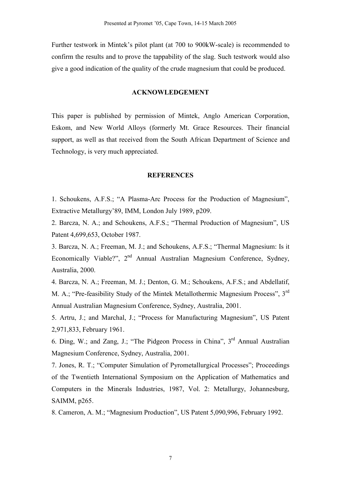Further testwork in Mintek's pilot plant (at 700 to 900kW-scale) is recommended to confirm the results and to prove the tappability of the slag. Such testwork would also give a good indication of the quality of the crude magnesium that could be produced.

## **ACKNOWLEDGEMENT**

This paper is published by permission of Mintek, Anglo American Corporation, Eskom, and New World Alloys (formerly Mt. Grace Resources. Their financial support, as well as that received from the South African Department of Science and Technology, is very much appreciated.

#### **REFERENCES**

1. Schoukens, A.F.S.; "A Plasma-Arc Process for the Production of Magnesium", Extractive Metallurgy'89, IMM, London July 1989, p209.

2. Barcza, N. A.; and Schoukens, A.F.S.; "Thermal Production of Magnesium", US Patent 4,699,653, October 1987.

3. Barcza, N. A.; Freeman, M. J.; and Schoukens, A.F.S.; "Thermal Magnesium: Is it Economically Viable?", 2<sup>nd</sup> Annual Australian Magnesium Conference, Sydney, Australia, 2000.

4. Barcza, N. A.; Freeman, M. J.; Denton, G. M.; Schoukens, A.F.S.; and Abdellatif, M. A.; "Pre-feasibility Study of the Mintek Metallothermic Magnesium Process", 3rd Annual Australian Magnesium Conference, Sydney, Australia, 2001.

5. Artru, J.; and Marchal, J.; "Process for Manufacturing Magnesium", US Patent 2,971,833, February 1961.

6. Ding, W.; and Zang, J.; "The Pidgeon Process in China", 3rd Annual Australian Magnesium Conference, Sydney, Australia, 2001.

7. Jones, R. T.; "Computer Simulation of Pyrometallurgical Processes"; Proceedings of the Twentieth International Symposium on the Application of Mathematics and Computers in the Minerals Industries, 1987, Vol. 2: Metallurgy, Johannesburg, SAIMM, p265.

8. Cameron, A. M.; "Magnesium Production", US Patent 5,090,996, February 1992.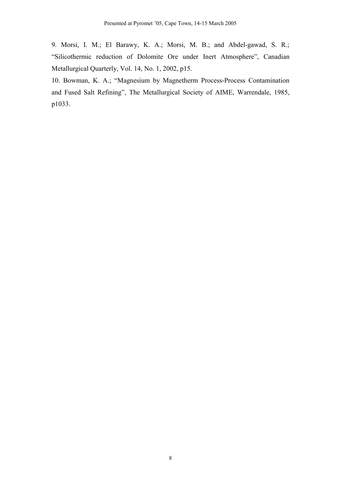9. Morsi, I. M.; El Barawy, K. A.; Morsi, M. B.; and Abdel-gawad, S. R.; "Silicothermic reduction of Dolomite Ore under Inert Atmosphere", Canadian Metallurgical Quarterly, Vol. 14, No. 1, 2002, p15.

10. Bowman, K. A.; "Magnesium by Magnetherm Process-Process Contamination and Fused Salt Refining", The Metallurgical Society of AIME, Warrendale, 1985, p1033.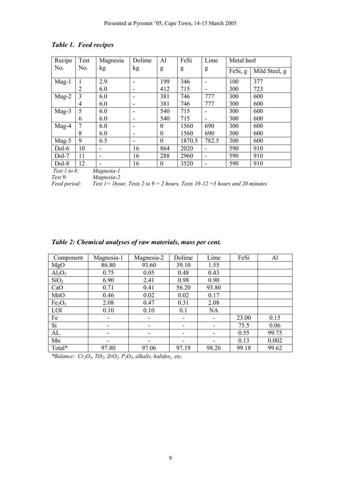| Recipe  | Test           | Magnesia                 | Dolime | Al               | FeSi   | Lime  | Metal heel |               |
|---------|----------------|--------------------------|--------|------------------|--------|-------|------------|---------------|
| No.     | No.            | kg                       | kg     | g                | g      | g     | FeSi, g    | Mild Steel, g |
| $Mag-1$ |                | 2.9                      |        | 199              | 346    |       | 100        | 377           |
|         | $\overline{2}$ | 6.0                      |        | 412              | 715    |       | 300        | 723           |
| $Mag-2$ | 3              | 6.0                      |        | 381              | 746    | 777   | 300        | 600           |
|         | 4              | 6.0                      |        | 381              | 746    | 777   | 300        | 600           |
| $Mag-3$ | 5              | 6.0                      |        | 540              | 715    |       | 300        | 600           |
|         | 6              | 6.0                      |        | 540              | 715    |       | 300        | 600           |
| $Mag-4$ |                | 6.0                      |        | $\boldsymbol{0}$ | 1560   | 690   | 300        | 600           |
|         | 8              | 6.0                      |        | $\boldsymbol{0}$ | 1560   | 690   | 300        | 600           |
| $Mag-5$ | 9              | 6.5                      |        | $\boldsymbol{0}$ | 1870.5 | 782.5 | 300        | 600           |
| Dol-6   | 10             | $\overline{\phantom{a}}$ | 16     | 864              | 2020   |       | 590        | 910           |
| $Dol-7$ | 11             | ٠                        | 16     | 288              | 2960   |       | 590        | 910           |
| Dol-8   | 12             | $\mathbf{r}$             | 16     | $\boldsymbol{0}$ | 3520   |       | 590        | 910           |

## *Table 1. Feed recipes*

*Test 1 to 8: Magnesia-1*

*Test 9: Magnesia-2 Fest 1* = 1hour, Tests 2 to  $9 = 2$  hours, Tests 10-12 = 3 hours and 20 minutes

|  |  |  |  |  | Table 2: Chemical analyses of raw materials, mass per cent. |  |  |  |
|--|--|--|--|--|-------------------------------------------------------------|--|--|--|
|--|--|--|--|--|-------------------------------------------------------------|--|--|--|

| Component                      | Magnesia-1               | Magnesia-2 | Dolime | Lime      | FeSi  | Al    |
|--------------------------------|--------------------------|------------|--------|-----------|-------|-------|
| MgO                            | 86.80                    | 93.60      | 39.10  | 1.55      |       |       |
| $Al_2O_3$                      | 0.75                     | 0.05       | 0.48   | 0.43      |       |       |
| SiO <sub>2</sub>               | 6.90                     | 2.41       | 0.98   | 0.90      |       |       |
| CaO                            | 0.71                     | 0.41       | 56.20  | 93.80     |       |       |
| MnO                            | 0.46                     | 0.02       | 0.02   | 0.17      |       |       |
| Fe <sub>2</sub> O <sub>3</sub> | 2.08                     | 0.47       | 0.31   | 2.08      |       |       |
| LOI                            | 0.10                     | 0.10       | 0.1    | <b>NA</b> |       |       |
| Fe                             | -                        |            |        |           | 23.00 | 0.15  |
| Si                             | -                        |            | -      |           | 75.5  | 0.06  |
| AL                             | $\overline{\phantom{a}}$ | -          | -      |           | 0.55  | 99.75 |
| Mn                             | -                        | -          | -      |           | 0.13  | 0.002 |
| Total*                         | 97.80                    | 97.06      | 97.19  | 98.26     | 99.18 | 99.62 |

*\*Balance: Cr2O3, Ti02, ZrO2, P2O5, alkalis, halides,, etc.*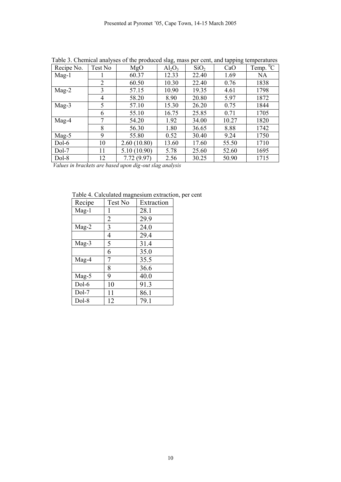| Taoic 9. Chemical analyses of the produced stag, mass per cent, and tapping temperatures |                |             |           |                  |       |                          |
|------------------------------------------------------------------------------------------|----------------|-------------|-----------|------------------|-------|--------------------------|
| Recipe No.                                                                               | Test No        | MgO         | $Al_2O_3$ | SiO <sub>2</sub> | CaO   | Temp. $\overline{{}^0C}$ |
| $Mag-1$                                                                                  |                | 60.37       | 12.33     | 22.40            | 1.69  | <b>NA</b>                |
|                                                                                          | $\overline{2}$ | 60.50       | 10.30     | 22.40            | 0.76  | 1838                     |
| $Mag-2$                                                                                  | 3              | 57.15       | 10.90     | 19.35            | 4.61  | 1798                     |
|                                                                                          | 4              | 58.20       | 8.90      | 20.80            | 5.97  | 1872                     |
| $Mag-3$                                                                                  | 5              | 57.10       | 15.30     | 26.20            | 0.75  | 1844                     |
|                                                                                          | 6              | 55.10       | 16.75     | 25.85            | 0.71  | 1705                     |
| Mag-4                                                                                    | 7              | 54.20       | 1.92      | 34.00            | 10.27 | 1820                     |
|                                                                                          | 8              | 56.30       | 1.80      | 36.65            | 8.88  | 1742                     |
| Mag-5                                                                                    | 9              | 55.80       | 0.52      | 30.40            | 9.24  | 1750                     |
| $Dol-6$                                                                                  | 10             | 2.60(10.80) | 13.60     | 17.60            | 55.50 | 1710                     |
| $Dol-7$                                                                                  | 11             | 5.10(10.90) | 5.78      | 25.60            | 52.60 | 1695                     |
| Dol-8                                                                                    | 12             | 7.72(9.97)  | 2.56      | 30.25            | 50.90 | 1715                     |

Table 3. Chemical analyses of the produced slag, mass per cent, and tapping temperatures

 *Values in brackets are based upon dig-out slag analysis*

Table 4. Calculated magnesium extraction, per cent

| Recipe  | Test No        | Extraction |  |  |
|---------|----------------|------------|--|--|
| $Mag-1$ |                | 28.1       |  |  |
|         | $\overline{2}$ | 29.9       |  |  |
| Mag-2   | 3              | 24.0       |  |  |
|         | 4              | 29.4       |  |  |
| $Mag-3$ | 5              | 31.4       |  |  |
|         | 6              | 35.0       |  |  |
| Mag-4   |                | 35.5       |  |  |
|         | 8              | 36.6       |  |  |
| Mag-5   | 9              | 40.0       |  |  |
| $Dol-6$ | 10             | 91.3       |  |  |
| Dol-7   | 11             | 86.1       |  |  |
| Dol-8   | 12             | 79.1       |  |  |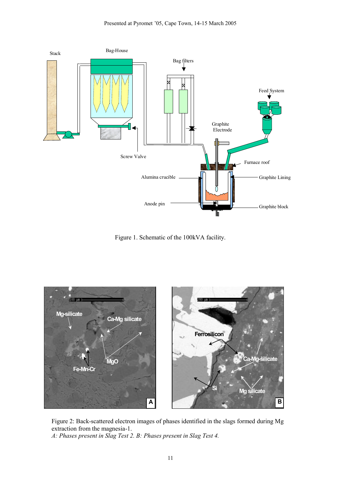

Figure 1. Schematic of the 100kVA facility.